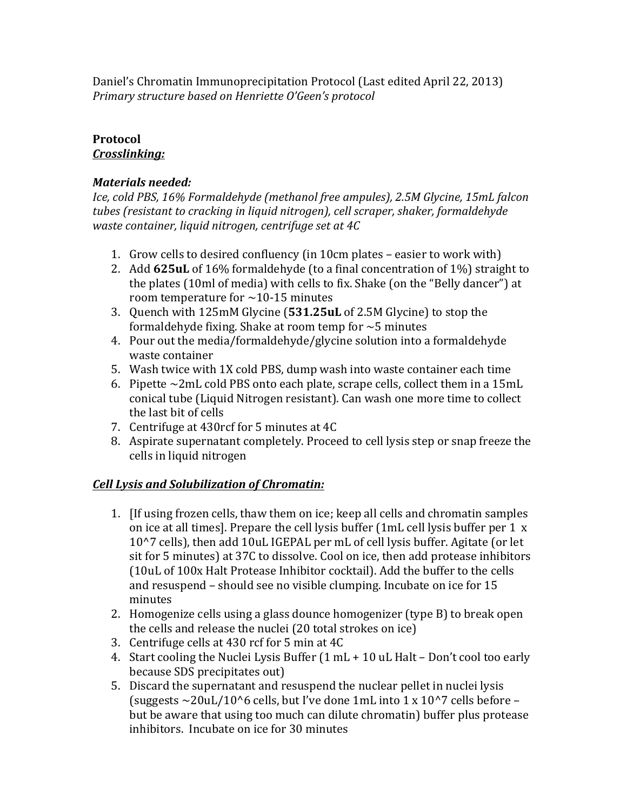Daniel's Chromatin Immunoprecipitation Protocol (Last edited April 22, 2013) *Primary structure based on Henriette O'Geen's protocol*

### **Protocol** *Crosslinking:*

# *Materials needed:*

*Ice, cold PBS, 16% Formaldehyde (methanol free ampules), 2.5M Glycine, 15mL falcon tubes* (resistant to cracking in liquid nitrogen), cell scraper, shaker, formaldehyde *waste container, liquid nitrogen, centrifuge set at 4C* 

- 1. Grow cells to desired confluency (in 10cm plates easier to work with)
- 2. Add 625uL of 16% formaldehyde (to a final concentration of 1%) straight to the plates (10ml of media) with cells to fix. Shake (on the "Belly dancer") at room temperature for  $\sim$  10-15 minutes
- 3. Quench with 125mM Glycine (531.25uL of 2.5M Glycine) to stop the formaldehyde fixing. Shake at room temp for  $\sim$  5 minutes
- 4. Pour out the media/formaldehyde/glycine solution into a formaldehyde waste container
- 5. Wash twice with 1X cold PBS, dump wash into waste container each time
- 6. Pipette  $\sim$ 2mL cold PBS onto each plate, scrape cells, collect them in a 15mL conical tube (Liquid Nitrogen resistant). Can wash one more time to collect the last bit of cells
- 7. Centrifuge at 430rcf for 5 minutes at 4C
- 8. Aspirate supernatant completely. Proceed to cell lysis step or snap freeze the cells in liquid nitrogen

# *Cell Lysis and Solubilization of Chromatin:*

- 1. If using frozen cells, thaw them on ice; keep all cells and chromatin samples on ice at all times]. Prepare the cell lysis buffer (1mL cell lysis buffer per 1 x 10^7 cells), then add 10uL IGEPAL per mL of cell lysis buffer. Agitate (or let sit for 5 minutes) at 37C to dissolve. Cool on ice, then add protease inhibitors (10uL of 100x Halt Protease Inhibitor cocktail). Add the buffer to the cells and resuspend - should see no visible clumping. Incubate on ice for 15 minutes
- 2. Homogenize cells using a glass dounce homogenizer (type B) to break open the cells and release the nuclei  $(20 \text{ total strokes on ice})$
- 3. Centrifuge cells at 430 rcf for 5 min at 4C
- 4. Start cooling the Nuclei Lysis Buffer  $(1 \text{ mL} + 10 \text{ uL}$  Halt Don't cool too early because SDS precipitates out)
- 5. Discard the supernatant and resuspend the nuclear pellet in nuclei lysis (suggests  $\sim$  20uL/10^6 cells, but I've done 1mL into 1 x 10^7 cells before – but be aware that using too much can dilute chromatin) buffer plus protease inhibitors. Incubate on ice for 30 minutes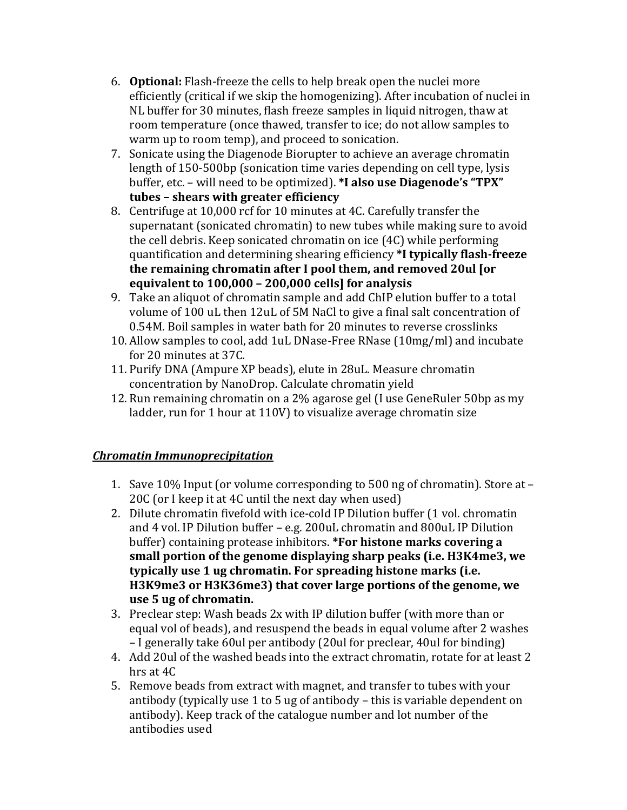- 6. **Optional:** Flash-freeze the cells to help break open the nuclei more efficiently (critical if we skip the homogenizing). After incubation of nuclei in NL buffer for 30 minutes, flash freeze samples in liquid nitrogen, thaw at room temperature (once thawed, transfer to ice; do not allow samples to warm up to room temp), and proceed to sonication.
- 7. Sonicate using the Diagenode Biorupter to achieve an average chromatin length of 150-500bp (sonication time varies depending on cell type, lysis buffer, etc. - will need to be optimized). \*I also use Diagenode's "TPX" **tubes – shears with greater efficiency**
- 8. Centrifuge at 10,000 rcf for 10 minutes at 4C. Carefully transfer the supernatant (sonicated chromatin) to new tubes while making sure to avoid the cell debris. Keep sonicated chromatin on ice (4C) while performing quantification and determining shearing efficiency **\*I typically flash-freeze the remaining chromatin after I pool them, and removed 20ul [or equivalent to 100,000 - 200,000 cells] for analysis**
- 9. Take an aliquot of chromatin sample and add ChIP elution buffer to a total volume of 100 uL then 12uL of 5M NaCl to give a final salt concentration of 0.54M. Boil samples in water bath for 20 minutes to reverse crosslinks
- 10. Allow samples to cool, add 1uL DNase-Free RNase (10mg/ml) and incubate for 20 minutes at 37C.
- 11. Purify DNA (Ampure XP beads), elute in 28uL. Measure chromatin concentration by NanoDrop. Calculate chromatin yield
- 12. Run remaining chromatin on a 2% agarose gel (I use GeneRuler 50bp as my ladder, run for 1 hour at 110V) to visualize average chromatin size

# *Chromatin Immunoprecipitation*

- 1. Save  $10\%$  Input (or volume corresponding to 500 ng of chromatin). Store at  $-$ 20C (or I keep it at  $4C$  until the next day when used)
- 2. Dilute chromatin fivefold with ice-cold IP Dilution buffer (1 vol. chromatin and 4 vol. IP Dilution buffer - e.g. 200uL chromatin and 800uL IP Dilution buffer) containing protease inhibitors. **\*For histone marks covering a** small portion of the genome displaying sharp peaks (i.e. H3K4me3, we typically use 1 ug chromatin. For spreading histone marks (i.e. H3K9me3 or H3K36me3) that cover large portions of the genome, we **use 5 ug of chromatin.**
- 3. Preclear step: Wash beads 2x with IP dilution buffer (with more than or equal vol of beads), and resuspend the beads in equal volume after 2 washes – I generally take 60ul per antibody (20ul for preclear, 40ul for binding)
- 4. Add 20ul of the washed beads into the extract chromatin, rotate for at least 2 hrs at  $4C$
- 5. Remove beads from extract with magnet, and transfer to tubes with your antibody (typically use 1 to 5 ug of antibody  $-$  this is variable dependent on antibody). Keep track of the catalogue number and lot number of the antibodies used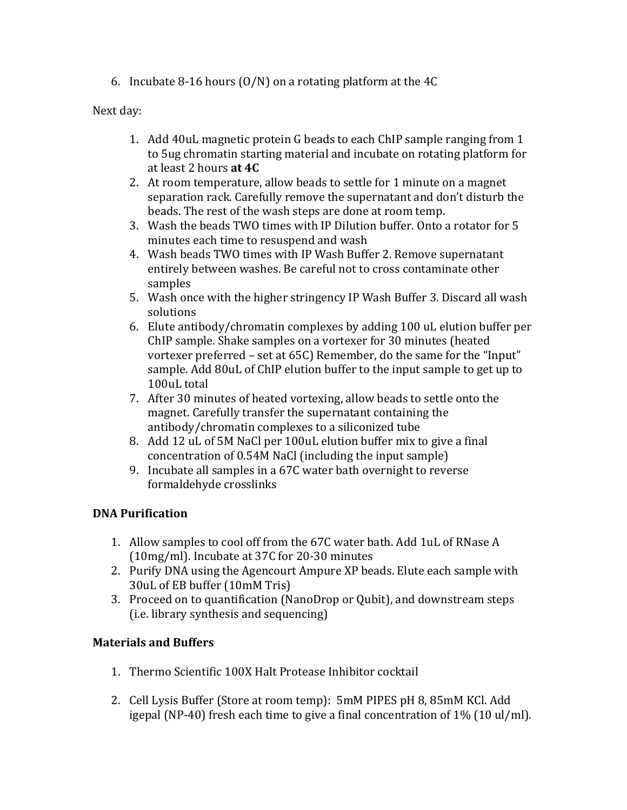6. Incubate 8-16 hours  $(0/N)$  on a rotating platform at the 4C

## Next day:

- 1. Add 40uL magnetic protein G beads to each ChIP sample ranging from 1 to 5ug chromatin starting material and incubate on rotating platform for at least 2 hours **at 4C**
- 2. At room temperature, allow beads to settle for 1 minute on a magnet separation rack. Carefully remove the supernatant and don't disturb the beads. The rest of the wash steps are done at room temp.
- 3. Wash the beads TWO times with IP Dilution buffer. Onto a rotator for 5 minutes each time to resuspend and wash
- 4. Wash beads TWO times with IP Wash Buffer 2. Remove supernatant entirely between washes. Be careful not to cross contaminate other samples
- 5. Wash once with the higher stringency IP Wash Buffer 3. Discard all wash solutions
- 6. Elute antibody/chromatin complexes by adding  $100$  uL elution buffer per ChIP sample. Shake samples on a vortexer for 30 minutes (heated vortexer preferred  $-$  set at 65C) Remember, do the same for the "Input" sample. Add 80uL of ChIP elution buffer to the input sample to get up to 100uL total
- 7. After 30 minutes of heated vortexing, allow beads to settle onto the magnet. Carefully transfer the supernatant containing the antibody/chromatin complexes to a siliconized tube
- 8. Add 12 uL of 5M NaCl per 100uL elution buffer mix to give a final concentration of 0.54M NaCl (including the input sample)
- 9. Incubate all samples in a 67C water bath overnight to reverse formaldehyde crosslinks

# **DNA Purification**

- 1. Allow samples to cool off from the 67C water bath. Add 1uL of RNase A (10mg/ml). Incubate at 37C for 20-30 minutes
- 2. Purify DNA using the Agencourt Ampure XP beads. Elute each sample with 30uL of EB buffer (10mM Tris)
- 3. Proceed on to quantification (NanoDrop or Qubit), and downstream steps (i.e. library synthesis and sequencing)

# **Materials and Buffers**

- 1. Thermo Scientific 100X Halt Protease Inhibitor cocktail
- 2. Cell Lysis Buffer (Store at room temp):  $5 \text{m}$ M PIPES pH 8, 85mM KCl. Add igepal (NP-40) fresh each time to give a final concentration of  $1\%$  (10 ul/ml).